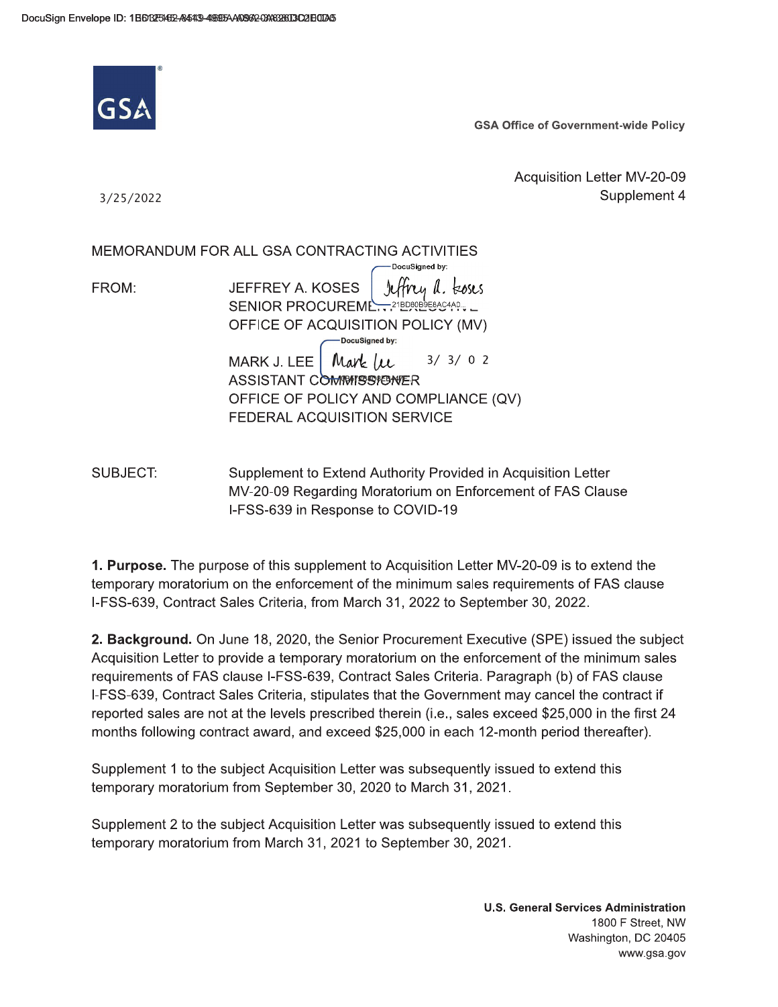

**GSA Office of Government-wide Policy** 

Acquisition Letter MV-20-09 Supplement 4

3/25/2022

MEMORANDUM FOR ALL GSA CONTRACTING ACTIVITIES DocuSianed by: **JEFFREY A. KOSES** rettrey a. toses FROM: SENIOR PROCUREML  $-21BDB0B9E8AC4A0...$ OFFICE OF ACQUISITION POLICY (MV) -DocuSianed by: Mark Lee  $3/3/02$ MARK J. LEE ASSISTANT COMMISSIONER OFFICE OF POLICY AND COMPLIANCE (QV) **FEDERAL ACQUISITION SERVICE** 

SUBJECT: Supplement to Extend Authority Provided in Acquisition Letter MV-20-09 Regarding Moratorium on Enforcement of FAS Clause I-FSS-639 in Response to COVID-19

1. Purpose. The purpose of this supplement to Acquisition Letter MV-20-09 is to extend the temporary moratorium on the enforcement of the minimum sales requirements of FAS clause I-FSS-639, Contract Sales Criteria, from March 31, 2022 to September 30, 2022.

2. Background. On June 18, 2020, the Senior Procurement Executive (SPE) issued the subject Acquisition Letter to provide a temporary moratorium on the enforcement of the minimum sales requirements of FAS clause I-FSS-639, Contract Sales Criteria. Paragraph (b) of FAS clause I-FSS-639, Contract Sales Criteria, stipulates that the Government may cancel the contract if reported sales are not at the levels prescribed therein (i.e., sales exceed \$25,000 in the first 24 months following contract award, and exceed \$25,000 in each 12-month period thereafter).

Supplement 1 to the subject Acquisition Letter was subsequently issued to extend this temporary moratorium from September 30, 2020 to March 31, 2021.

Supplement 2 to the subject Acquisition Letter was subsequently issued to extend this temporary moratorium from March 31, 2021 to September 30, 2021.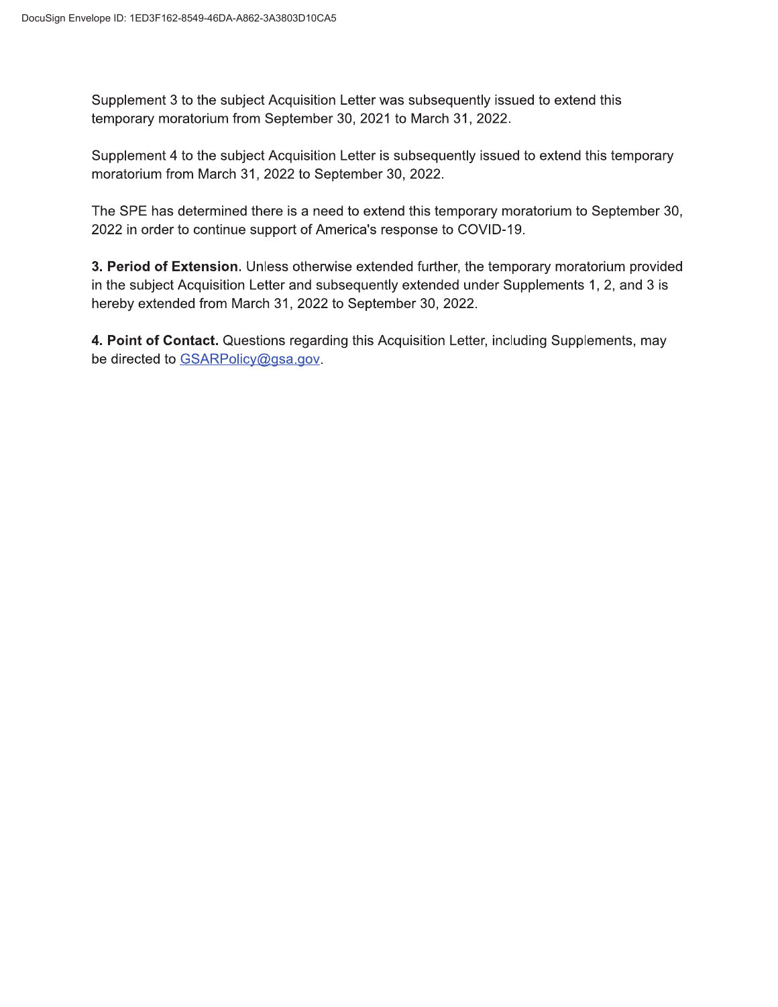Supplement 3 to the subject Acquisition Letter was subsequently issued to extend this temporary moratorium from September 30, 2021 to March 31, 2022.

Supplement 4 to the subject Acquisition Letter is subsequently issued to extend this temporary moratorium from March 31, 2022 to September 30, 2022.

The SPE has determined there is a need to extend this temporary moratorium to September 30, 2022 in order to continue support of America's response to COVID-19.

3. Period of Extension. Unless otherwise extended further, the temporary moratorium provided in the subject Acquisition Letter and subsequently extended under Supplements 1, 2, and 3 is hereby extended from March 31, 2022 to September 30, 2022.

4. Point of Contact. Questions regarding this Acquisition Letter, including Supplements, may be directed to GSARPolicy@gsa.gov.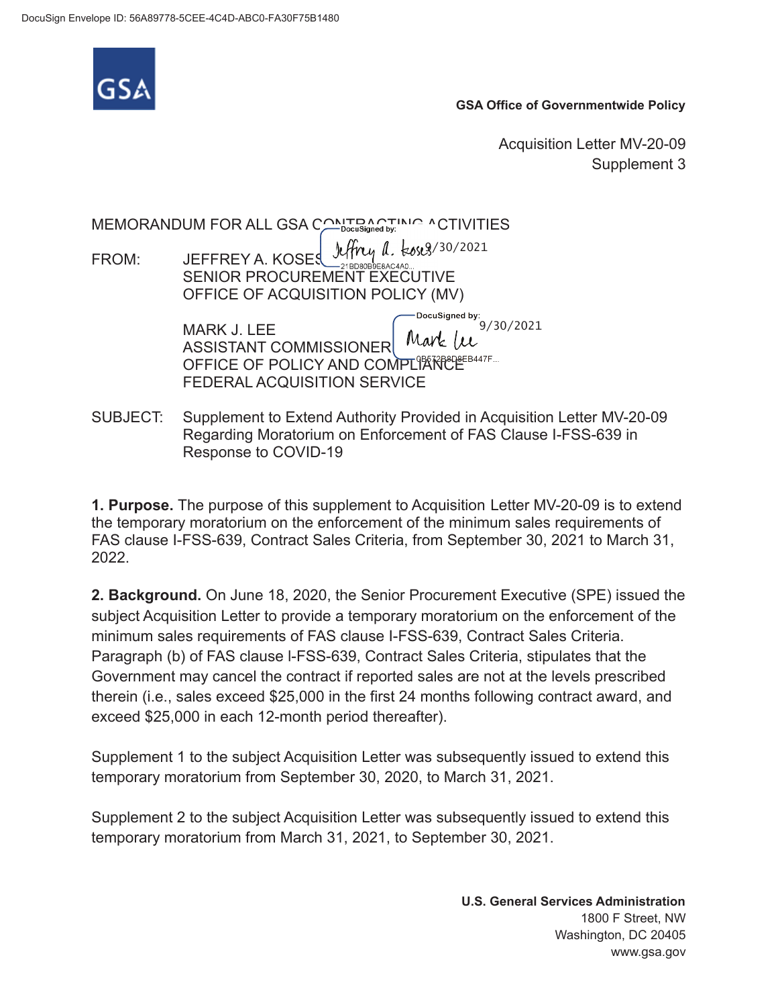

**GSA Office of Governmentwide Policy** 

Acquisition Letter MV-20-09 Supplement 3

**bocuSigned by:** 9/30/2021 ASSISTANT COMMISSIONER MATE TO THE SASSISTANT COMMISSIONER MEMORANDUM FOR ALL GSA CONTRACTING ACTIVITIES FROM: JEFFREY A. KOSES SENIOR PROCUREMENT EXECUTIVE  $9/30/2021$ OFFICE OF ACQUISITION POLICY (MV) MARK J. LEE ASSISTANT COMMISSIONER FEDERAL ACQUISITION SERVICE

SUBJECT: Supplement to Extend Authority Provided in Acquisition Letter MV-20-09 Regarding Moratorium on Enforcement of FAS Clause I-FSS-639 in Response to COVID-19

**1. Purpose.** The purpose of this supplement to Acquisition Letter MV-20-09 is to extend the temporary moratorium on the enforcement of the minimum sales requirements of FAS clause I-FSS-639, Contract Sales Criteria, from September 30, 2021 to March 31, 2022.

**2. Background.** On June 18, 2020, the Senior Procurement Executive (SPE) issued the subject Acquisition Letter to provide a temporary moratorium on the enforcement of the minimum sales requirements of FAS clause I-FSS-639, Contract Sales Criteria. Paragraph (b) of FAS clause l-FSS-639, Contract Sales Criteria, stipulates that the Government may cancel the contract if reported sales are not at the levels prescribed therein (i.e., sales exceed \$25,000 in the first 24 months following contract award, and exceed \$25,000 in each 12-month period thereafter).

Supplement 1 to the subject Acquisition Letter was subsequently issued to extend this temporary moratorium from September 30, 2020, to March 31, 2021.

Supplement 2 to the subject Acquisition Letter was subsequently issued to extend this temporary moratorium from March 31, 2021, to September 30, 2021.

> **U.S. General Services Administration**  1800 F Street, NW Washington, DC 20405 <www.gsa.gov>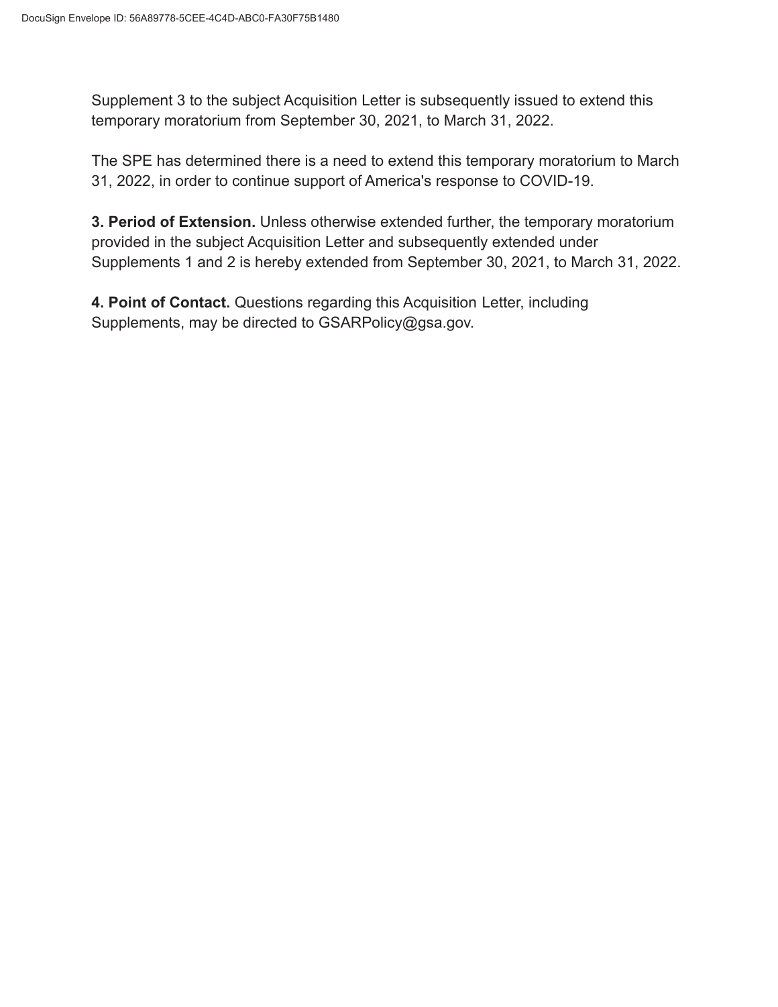Supplement 3 to the subject Acquisition Letter is subsequently issued to extend this temporary moratorium from September 30, 2021, to March 31, 2022.

The SPE has determined there is a need to extend this temporary moratorium to March 31, 2022, in order to continue support of America's response to COVID-19.

**3. Period of Extension.** Unless otherwise extended further, the temporary moratorium provided in the subject Acquisition Letter and subsequently extended under Supplements 1 and 2 is hereby extended from September 30, 2021, to March 31, 2022.

**4. Point of Contact.** Questions regarding this Acquisition Letter, including Supplements, may be directed to [GSARPolicy@gsa.gov.](mailto:GSARPolicy@gsa.gov)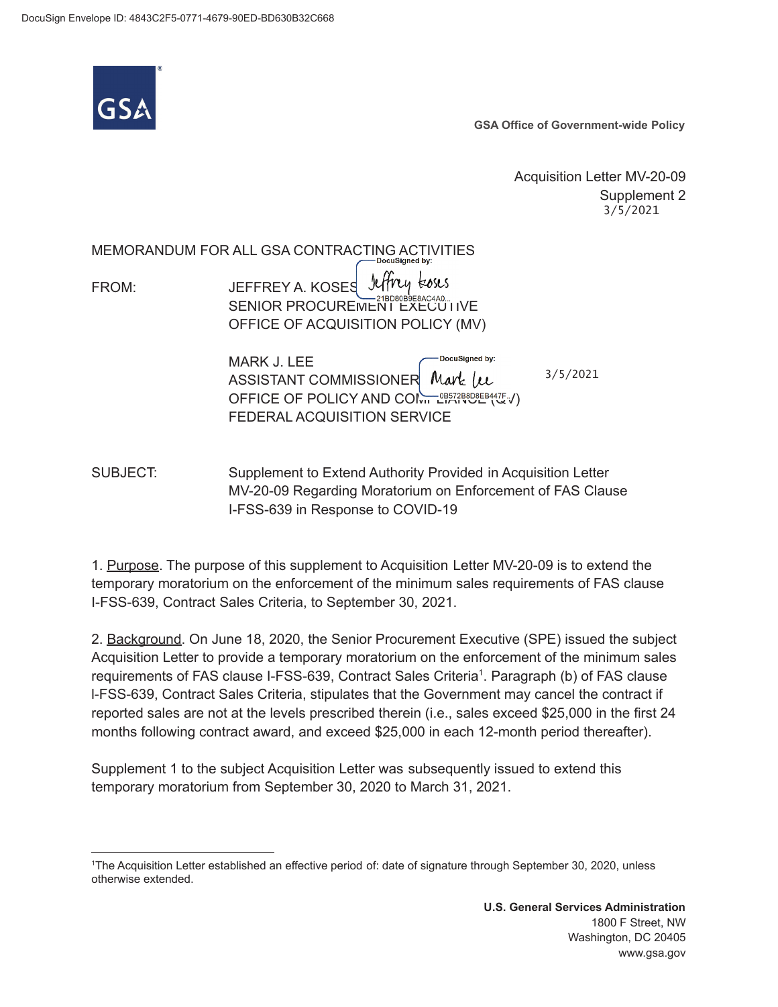

**GSA Office of Government-wide Policy** 

Acquisition Letter MV-20-09 Supplement 2 3/5/2021

**IADocuSigned by:**  MEMORANDUM FOR ALL GSA CONTRACTING ACTIVITIES

Jeffrey Esses FROM: **JEFFREY A. KOSES** OFFICE OF ACQUISITION POLICY (MV) SENIOR PROCUREMENT EXECUTIVE

> DocuSigned by: MARK J. LEE ASSISTANT COMMISSIONER Mark (u OFFICE OF POLICY AND CONTRIGHT (QU) FEDERAL ACQUISITION SERVICE

 $3/5/2021$ 

SUBJECT: Supplement to Extend Authority Provided in Acquisition Letter MV-20-09 Regarding Moratorium on Enforcement of FAS Clause I-FSS-639 in Response to COVID-19

1. Purpose. The purpose of this supplement to Acquisition Letter MV-20-09 is to extend the temporary moratorium on the enforcement of the minimum sales requirements of FAS clause I-FSS-639, Contract Sales Criteria, to September 30, 2021.

2. Background. On June 18, 2020, the Senior Procurement Executive (SPE) issued the subject Acquisition Letter to provide a temporary moratorium on the enforcement of the minimum sales requirements of FAS clause I-FSS-639, Contract Sales Criteria<sup>1</sup>. Paragraph (b) of FAS clause l-FSS-639, Contract Sales Criteria, stipulates that the Government may cancel the contract if reported sales are not at the levels prescribed therein (i.e., sales exceed \$25,000 in the first 24 months following contract award, and exceed \$25,000 in each 12-month period thereafter).

Supplement 1 to the subject Acquisition Letter was subsequently issued to extend this temporary moratorium from September 30, 2020 to March 31, 2021.

<sup>1</sup> The Acquisition Letter established an effective period of: date of signature through September 30, 2020, unless otherwise extended.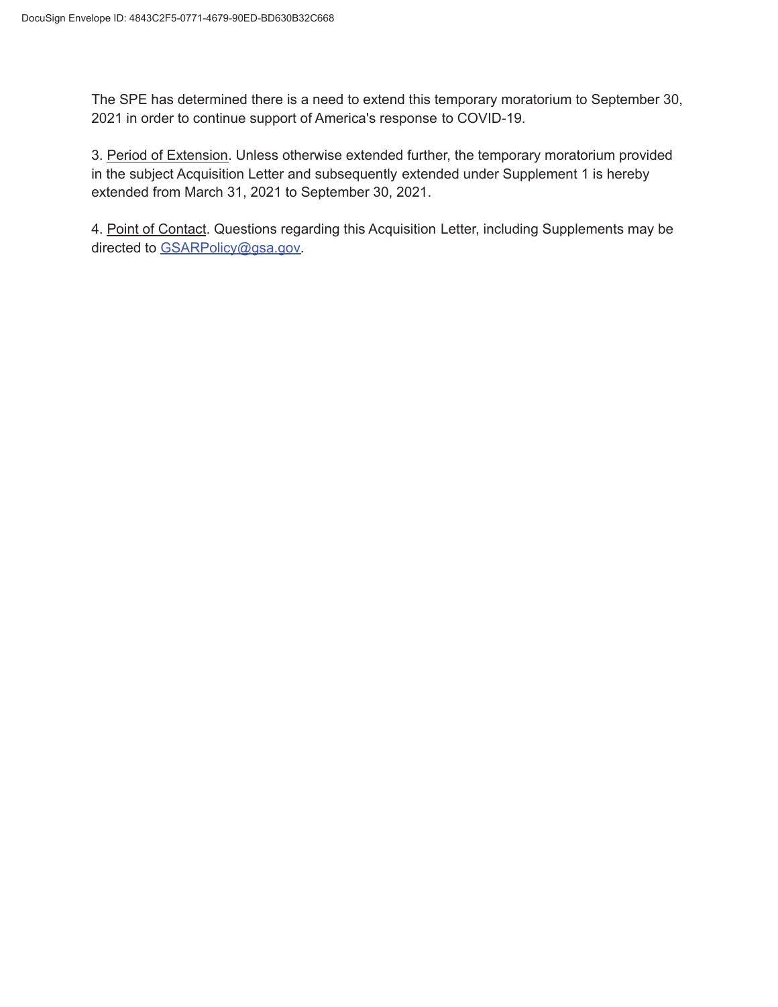The SPE has determined there is a need to extend this temporary moratorium to September 30, 2021 in order to continue support of America's response to COVID-19.

3. Period of Extension. Unless otherwise extended further, the temporary moratorium provided in the subject Acquisition Letter and subsequently extended under Supplement 1 is hereby extended from March 31, 2021 to September 30, 2021.

4. Point of Contact. Questions regarding this Acquisition Letter, including Supplements may be directed to [GSARPolicy@gsa.gov.](mailto:GSARPolicy@gsa.gov)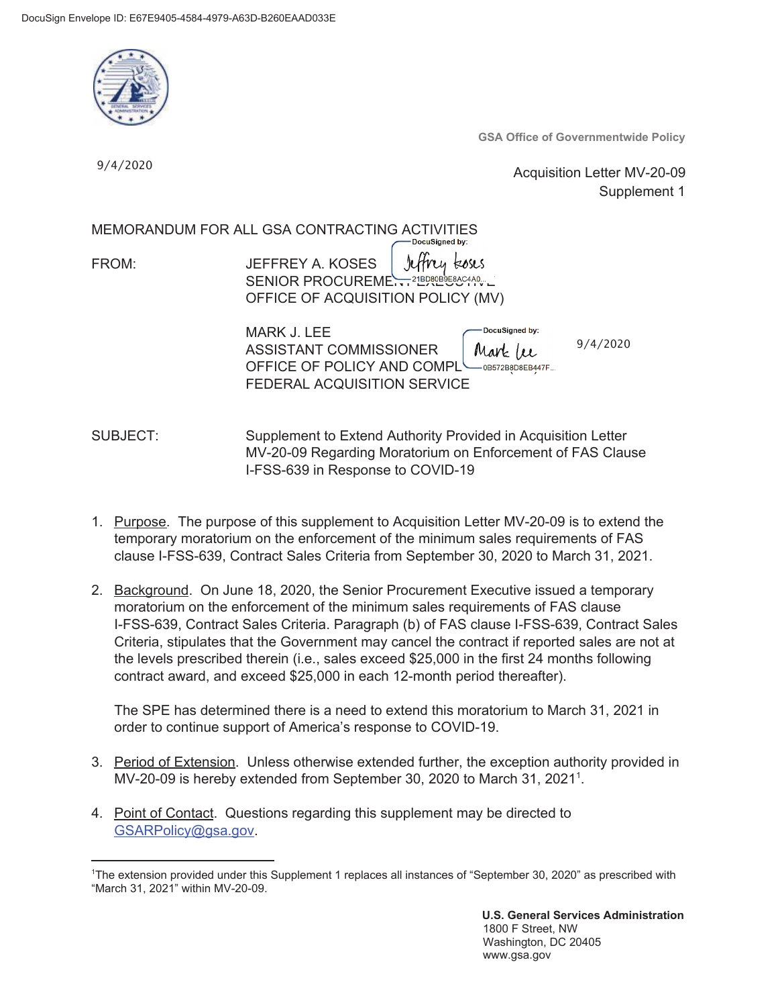

**GSA Office of Governmentwide Policy** 

9/4/2020

 Acquisition Letter MV-20-09 Supplement 1

MEMORANDUM FOR ALL GSA CONTRACTING ACTIVITIES

FROM: JEFFREY A. KOSES Hrey koses SENIOR PROCUREME OFFICE OF ACQUISITION POLICY (MV)

| MARK J. LEE                                 | -DocuSigned by: |          |
|---------------------------------------------|-----------------|----------|
| ASSISTANT COMMISSIONER                      | Mark (u         | 9/4/2020 |
| OFFICE OF POLICY AND COMPL SOBS72B8D8EB447F |                 |          |
| FEDERAL ACQUISITION SERVICE                 |                 |          |

SUBJECT: Supplement to Extend Authority Provided in Acquisition Letter MV-20-09 Regarding Moratorium on Enforcement of FAS Clause I-FSS-639 in Response to COVID-19

- 1. Purpose. The purpose of this supplement to Acquisition Letter MV-20-09 is to extend the temporary moratorium on the enforcement of the minimum sales requirements of FAS clause I-FSS-639, Contract Sales Criteria from September 30, 2020 to March 31, 2021.
- 2. Background. On June 18, 2020, the Senior Procurement Executive issued a temporary moratorium on the enforcement of the minimum sales requirements of FAS clause I-FSS-639, Contract Sales Criteria. Paragraph (b) of FAS clause I-FSS-639, Contract Sales Criteria, stipulates that the Government may cancel the contract if reported sales are not at the levels prescribed therein (i.e., sales exceed \$25,000 in the first 24 months following contract award, and exceed \$25,000 in each 12-month period thereafter).

The SPE has determined there is a need to extend this moratorium to March 31, 2021 in order to continue support of America's response to COVID-19.

- 3. Period of Extension. Unless otherwise extended further, the exception authority provided in MV-20-09 is hereby extended from September 30, 2020 to March 31, 2021<sup>1</sup>.
- [GSARPolicy@gsa.gov](mailto:GSARPolicy@gsa.gov). 1 4. Point of Contact. Questions regarding this supplement may be directed to

**U.S. General Services Administration**  1800 F Street, NW Washington, DC 20405 <www.gsa.gov>

<sup>&</sup>lt;sup>1</sup>The extension provided under this Supplement 1 replaces all instances of "September 30, 2020" as prescribed with "March 31, 2021" within MV-20-09.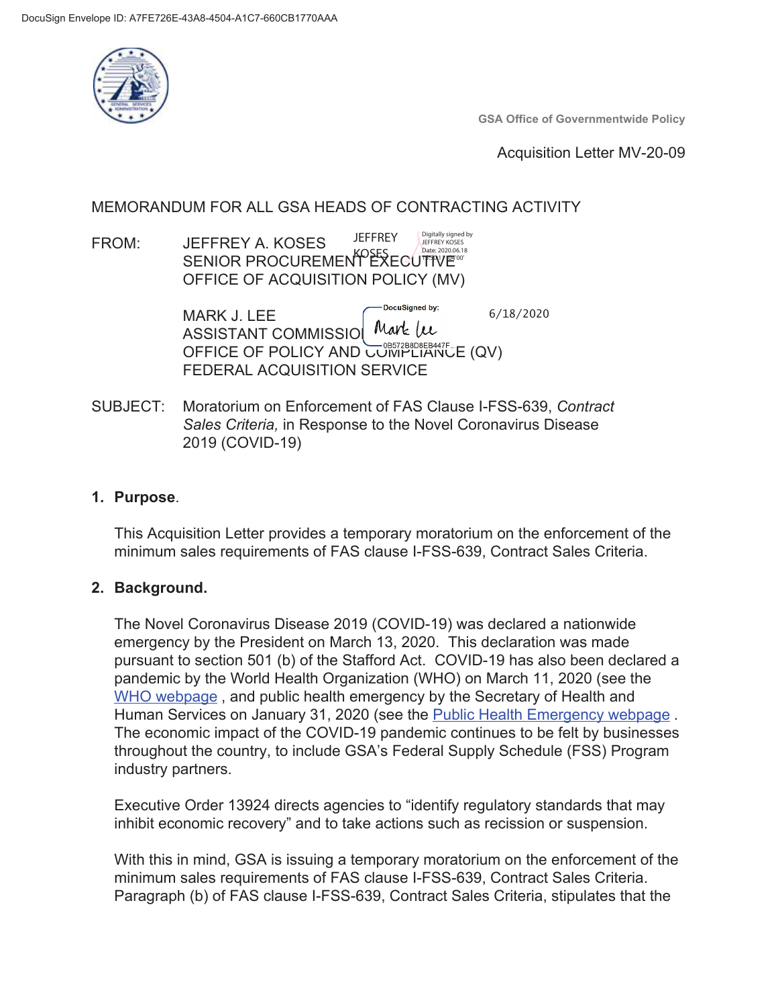

**GSA Office of Governmentwide Policy** 

**Acquisition Letter MV-20-09** 

# MEMORANDUM FOR ALL GSA HEADS OF CONTRACTING ACTIVITY

#### Digitally signed by<br>JEFFREY KOSES **JEFFREY** FROM: **JEFFREY A. KOSES** SENIOR PROCUREMENT EXECUTIVE<sup>006.18</sup> Date: 2020.06.18 OFFICE OF ACQUISITION POLICY (MV)

DocuSigned by:  $6/18/2020$ **MARK J. LEE** Mark (u **ASSISTANT COMMISSIO** OFFICE OF POLICY AND COMPLIANCE (QV) FEDERAL ACQUISITION SERVICE

SUBJECT: Moratorium on Enforcement of FAS Clause I-FSS-639, Contract Sales Criteria, in Response to the Novel Coronavirus Disease 2019 (COVID-19)

## 1. Purpose.

This Acquisition Letter provides a temporary moratorium on the enforcement of the minimum sales requirements of FAS clause I-FSS-639, Contract Sales Criteria.

### 2. Background.

The Novel Coronavirus Disease 2019 (COVID-19) was declared a nationwide emergency by the President on March 13, 2020. This declaration was made pursuant to section 501 (b) of the Stafford Act. COVID-19 has also been declared a pandemic by the World Health Organization (WHO) on March 11, 2020 (see the WHO webpage, and public health emergency by the Secretary of Health and Human Services on January 31, 2020 (see the Public Health Emergency webpage. The economic impact of the COVID-19 pandemic continues to be felt by businesses throughout the country, to include GSA's Federal Supply Schedule (FSS) Program industry partners.

Executive Order 13924 directs agencies to "identify regulatory standards that may inhibit economic recovery" and to take actions such as recission or suspension.

With this in mind, GSA is issuing a temporary moratorium on the enforcement of the minimum sales requirements of FAS clause I-FSS-639, Contract Sales Criteria. Paragraph (b) of FAS clause I-FSS-639, Contract Sales Criteria, stipulates that the